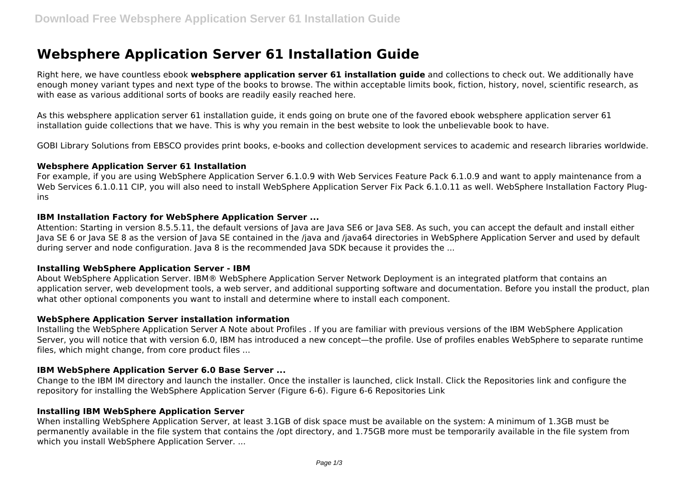# **Websphere Application Server 61 Installation Guide**

Right here, we have countless ebook **websphere application server 61 installation guide** and collections to check out. We additionally have enough money variant types and next type of the books to browse. The within acceptable limits book, fiction, history, novel, scientific research, as with ease as various additional sorts of books are readily easily reached here.

As this websphere application server 61 installation guide, it ends going on brute one of the favored ebook websphere application server 61 installation guide collections that we have. This is why you remain in the best website to look the unbelievable book to have.

GOBI Library Solutions from EBSCO provides print books, e-books and collection development services to academic and research libraries worldwide.

#### **Websphere Application Server 61 Installation**

For example, if you are using WebSphere Application Server 6.1.0.9 with Web Services Feature Pack 6.1.0.9 and want to apply maintenance from a Web Services 6.1.0.11 CIP, you will also need to install WebSphere Application Server Fix Pack 6.1.0.11 as well. WebSphere Installation Factory Plugins

## **IBM Installation Factory for WebSphere Application Server ...**

Attention: Starting in version 8.5.5.11, the default versions of Java are Java SE6 or Java SE8. As such, you can accept the default and install either Java SE 6 or Java SE 8 as the version of Java SE contained in the /java and /java64 directories in WebSphere Application Server and used by default during server and node configuration. Java 8 is the recommended Java SDK because it provides the ...

## **Installing WebSphere Application Server - IBM**

About WebSphere Application Server. IBM® WebSphere Application Server Network Deployment is an integrated platform that contains an application server, web development tools, a web server, and additional supporting software and documentation. Before you install the product, plan what other optional components you want to install and determine where to install each component.

## **WebSphere Application Server installation information**

Installing the WebSphere Application Server A Note about Profiles . If you are familiar with previous versions of the IBM WebSphere Application Server, you will notice that with version 6.0, IBM has introduced a new concept—the profile. Use of profiles enables WebSphere to separate runtime files, which might change, from core product files ...

## **IBM WebSphere Application Server 6.0 Base Server ...**

Change to the IBM IM directory and launch the installer. Once the installer is launched, click Install. Click the Repositories link and configure the repository for installing the WebSphere Application Server (Figure 6-6). Figure 6-6 Repositories Link

## **Installing IBM WebSphere Application Server**

When installing WebSphere Application Server, at least 3.1GB of disk space must be available on the system: A minimum of 1.3GB must be permanently available in the file system that contains the /opt directory, and 1.75GB more must be temporarily available in the file system from which you install WebSphere Application Server. ...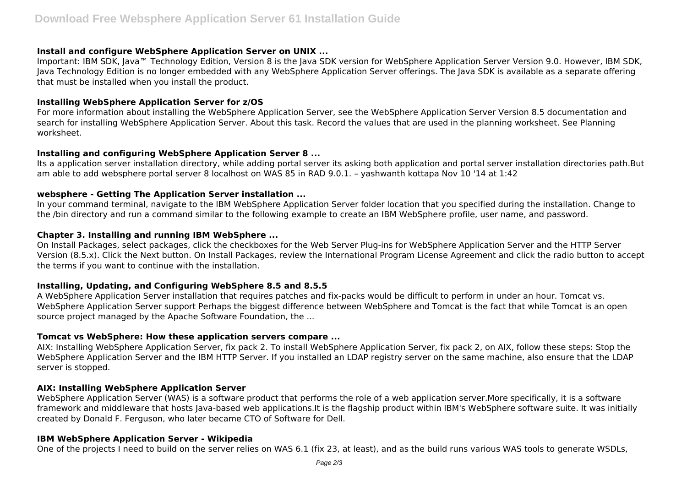## **Install and configure WebSphere Application Server on UNIX ...**

Important: IBM SDK, Java™ Technology Edition, Version 8 is the Java SDK version for WebSphere Application Server Version 9.0. However, IBM SDK, Java Technology Edition is no longer embedded with any WebSphere Application Server offerings. The Java SDK is available as a separate offering that must be installed when you install the product.

## **Installing WebSphere Application Server for z/OS**

For more information about installing the WebSphere Application Server, see the WebSphere Application Server Version 8.5 documentation and search for installing WebSphere Application Server. About this task. Record the values that are used in the planning worksheet. See Planning worksheet.

# **Installing and configuring WebSphere Application Server 8 ...**

Its a application server installation directory, while adding portal server its asking both application and portal server installation directories path.But am able to add websphere portal server 8 localhost on WAS 85 in RAD 9.0.1. – yashwanth kottapa Nov 10 '14 at 1:42

## **websphere - Getting The Application Server installation ...**

In your command terminal, navigate to the IBM WebSphere Application Server folder location that you specified during the installation. Change to the /bin directory and run a command similar to the following example to create an IBM WebSphere profile, user name, and password.

## **Chapter 3. Installing and running IBM WebSphere ...**

On Install Packages, select packages, click the checkboxes for the Web Server Plug-ins for WebSphere Application Server and the HTTP Server Version (8.5.x). Click the Next button. On Install Packages, review the International Program License Agreement and click the radio button to accept the terms if you want to continue with the installation.

# **Installing, Updating, and Configuring WebSphere 8.5 and 8.5.5**

A WebSphere Application Server installation that requires patches and fix-packs would be difficult to perform in under an hour. Tomcat vs. WebSphere Application Server support Perhaps the biggest difference between WebSphere and Tomcat is the fact that while Tomcat is an open source project managed by the Apache Software Foundation, the ...

# **Tomcat vs WebSphere: How these application servers compare ...**

AIX: Installing WebSphere Application Server, fix pack 2. To install WebSphere Application Server, fix pack 2, on AIX, follow these steps: Stop the WebSphere Application Server and the IBM HTTP Server. If you installed an LDAP registry server on the same machine, also ensure that the LDAP server is stopped.

# **AIX: Installing WebSphere Application Server**

WebSphere Application Server (WAS) is a software product that performs the role of a web application server.More specifically, it is a software framework and middleware that hosts Java-based web applications.It is the flagship product within IBM's WebSphere software suite. It was initially created by Donald F. Ferguson, who later became CTO of Software for Dell.

## **IBM WebSphere Application Server - Wikipedia**

One of the projects I need to build on the server relies on WAS 6.1 (fix 23, at least), and as the build runs various WAS tools to generate WSDLs,